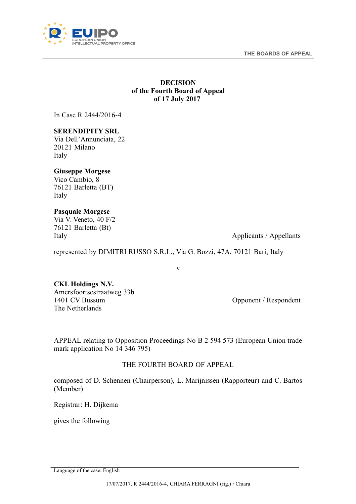**THE BOARDS OF APPEAL** 



## **DECISION of the Fourth Board of Appeal of 17 July 2017**

In Case R 2444/2016-4

## **SERENDIPITY SRL**

Via Dell'Annunciata, 22 20121 Milano Italy

# **Giuseppe Morgese**

Vico Cambio, 8 76121 Barletta (BT) Italy

## **Pasquale Morgese**

Via V. Veneto, 40 F/2 76121 Barletta (Bt)

Italy Applicants / Applicants / Appellants

represented by DIMITRI RUSSO S.R.L., Via G. Bozzi, 47A, 70121 Bari, Italy

v

## **CKL Holdings N.V.** Amersfoortsestraatweg 33b 1401 CV Bussum The Netherlands

Opponent / Respondent

APPEAL relating to Opposition Proceedings No B 2 594 573 (European Union trade mark application No 14 346 795)

# THE FOURTH BOARD OF APPEAL

composed of D. Schennen (Chairperson), L. Marijnissen (Rapporteur) and C. Bartos (Member)

Registrar: H. Dijkema

gives the following

<span id="page-0-0"></span>Language of the case: English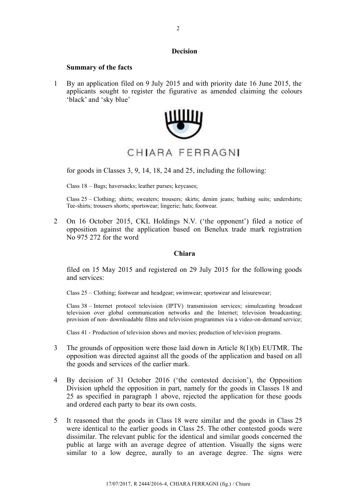## **Decision**

#### **Summary of the facts**

1 By an application filed on 9 July 2015 and with priority date 16 June 2015, the applicants sought to register the figurative as amended claiming the colours 'black' and 'sky blue'



for goods in Classes 3, 9, 14, 18, 24 and 25, including the following:

Class 18 – Bags; haversacks; leather purses; keycases;

Class 25 – Clothing; shirts; sweaters; trousers; skirts; denim jeans; bathing suits; undershirts; Tee-shirts; trousers shorts; sportswear; lingerie; hats; footwear.

2 On 16 October 2015, CKL Holdings N.V. ('the opponent') filed a notice of opposition against the application based on Benelux trade mark registration No 975 272 for the word

### **Chiara**

filed on 15 May 2015 and registered on 29 July 2015 for the following goods and services:

Class 25 – Clothing; footwear and headgear; swimwear; sportswear and leisurewear;

Class 38 – Internet protocol television (IPTV) transmission services; simulcasting broadcast television over global communication networks and the Internet; television broadcasting; provision of non- downloadable films and television programmes via a video-on-demand service;

Class 41 - Production of television shows and movies; production of television programs.

- 3 The grounds of opposition were those laid down in Article 8(1)(b) EUTMR. The opposition was directed against all the goods of the application and based on all the goods and services of the earlier mark.
- 4 By decision of 31 October 2016 ('the contested decision'), the Opposition Division upheld the opposition in part, namely for the goods in Classes 18 and 25 as specified in paragraph 1 above, rejected the application for these goods and ordered each party to bear its own costs.
- 5 It reasoned that the goods in Class 18 were similar and the goods in Class 25 were identical to the earlier goods in Class 25. The other contested goods were dissimilar. The relevant public for the identical and similar goods concerned the public at large with an average degree of attention. Visually the signs were similar to a low degree, aurally to an average degree. The signs were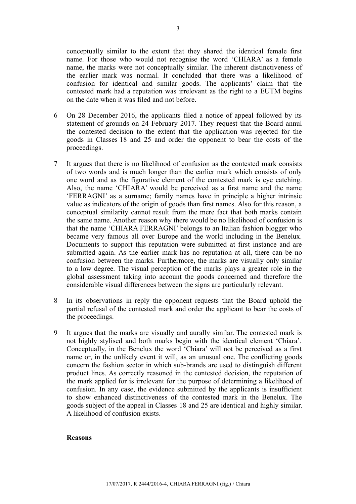conceptually similar to the extent that they shared the identical female first name. For those who would not recognise the word 'CHIARA' as a female name, the marks were not conceptually similar. The inherent distinctiveness of the earlier mark was normal. It concluded that there was a likelihood of confusion for identical and similar goods. The applicants' claim that the contested mark had a reputation was irrelevant as the right to a EUTM begins on the date when it was filed and not before.

- 6 On 28 December 2016, the applicants filed a notice of appeal followed by its statement of grounds on 24 February 2017. They request that the Board annul the contested decision to the extent that the application was rejected for the goods in Classes 18 and 25 and order the opponent to bear the costs of the proceedings.
- 7 It argues that there is no likelihood of confusion as the contested mark consists of two words and is much longer than the earlier mark which consists of only one word and as the figurative element of the contested mark is eye catching. Also, the name 'CHIARA' would be perceived as a first name and the name 'FERRAGNI' as a surname; family names have in principle a higher intrinsic value as indicators of the origin of goods than first names. Also for this reason, a conceptual similarity cannot result from the mere fact that both marks contain the same name. Another reason why there would be no likelihood of confusion is that the name 'CHIARA FERRAGNI' belongs to an Italian fashion blogger who became very famous all over Europe and the world including in the Benelux. Documents to support this reputation were submitted at first instance and are submitted again. As the earlier mark has no reputation at all, there can be no confusion between the marks. Furthermore, the marks are visually only similar to a low degree. The visual perception of the marks plays a greater role in the global assessment taking into account the goods concerned and therefore the considerable visual differences between the signs are particularly relevant.
- 8 In its observations in reply the opponent requests that the Board uphold the partial refusal of the contested mark and order the applicant to bear the costs of the proceedings.
- 9 It argues that the marks are visually and aurally similar. The contested mark is not highly stylised and both marks begin with the identical element 'Chiara'. Conceptually, in the Benelux the word 'Chiara' will not be perceived as a first name or, in the unlikely event it will, as an unusual one. The conflicting goods concern the fashion sector in which sub-brands are used to distinguish different product lines. As correctly reasoned in the contested decision, the reputation of the mark applied for is irrelevant for the purpose of determining a likelihood of confusion. In any case, the evidence submitted by the applicants is insufficient to show enhanced distinctiveness of the contested mark in the Benelux. The goods subject of the appeal in Classes 18 and 25 are identical and highly similar. A likelihood of confusion exists.

#### **Reasons**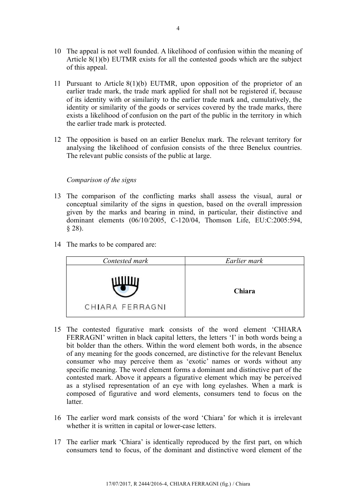- 10 The appeal is not well founded. A likelihood of confusion within the meaning of Article 8(1)(b) EUTMR exists for all the contested goods which are the subject of this appeal.
- 11 Pursuant to Article 8(1)(b) EUTMR, upon opposition of the proprietor of an earlier trade mark, the trade mark applied for shall not be registered if, because of its identity with or similarity to the earlier trade mark and, cumulatively, the identity or similarity of the goods or services covered by the trade marks, there exists a likelihood of confusion on the part of the public in the territory in which the earlier trade mark is protected.
- 12 The opposition is based on an earlier Benelux mark. The relevant territory for analysing the likelihood of confusion consists of the three Benelux countries. The relevant public consists of the public at large.

## *Comparison of the signs*

- 13 The comparison of the conflicting marks shall assess the visual, aural or conceptual similarity of the signs in question, based on the overall impression given by the marks and bearing in mind, in particular, their distinctive and dominant elements (06/10/2005, C-120/04, Thomson Life, EU:C:2005:594,  $§ 28$ ).
- 14 The marks to be compared are:

| Contested mark  | Earlier mark |
|-----------------|--------------|
| CHIARA FERRAGNI | Chiara       |

- 15 The contested figurative mark consists of the word element 'CHIARA FERRAGNI' written in black capital letters, the letters 'I' in both words being a bit bolder than the others. Within the word element both words, in the absence of any meaning for the goods concerned, are distinctive for the relevant Benelux consumer who may perceive them as 'exotic' names or words without any specific meaning. The word element forms a dominant and distinctive part of the contested mark. Above it appears a figurative element which may be perceived as a stylised representation of an eye with long eyelashes. When a mark is composed of figurative and word elements, consumers tend to focus on the latter.
- 16 The earlier word mark consists of the word 'Chiara' for which it is irrelevant whether it is written in capital or lower-case letters.
- 17 The earlier mark 'Chiara' is identically reproduced by the first part, on which consumers tend to focus, of the dominant and distinctive word element of the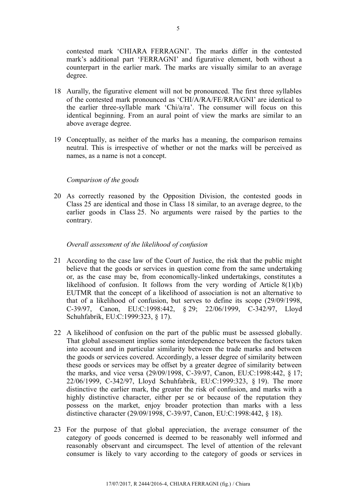contested mark 'CHIARA FERRAGNI'. The marks differ in the contested mark's additional part 'FERRAGNI' and figurative element, both without a counterpart in the earlier mark. The marks are visually similar to an average degree.

- 18 Aurally, the figurative element will not be pronounced. The first three syllables of the contested mark pronounced as 'CHI/A/RA/FE/RRA/GNI' are identical to the earlier three-syllable mark 'Chi/a/ra'. The consumer will focus on this identical beginning. From an aural point of view the marks are similar to an above average degree.
- 19 Conceptually, as neither of the marks has a meaning, the comparison remains neutral. This is irrespective of whether or not the marks will be perceived as names, as a name is not a concept.

## *Comparison of the goods*

20 As correctly reasoned by the Opposition Division, the contested goods in Class 25 are identical and those in Class 18 similar, to an average degree, to the earlier goods in Class 25. No arguments were raised by the parties to the contrary.

## *Overall assessment of the likelihood of confusion*

- 21 According to the case law of the Court of Justice, the risk that the public might believe that the goods or services in question come from the same undertaking or, as the case may be, from economically-linked undertakings, constitutes a likelihood of confusion. It follows from the very wording of Article  $8(1)(b)$ EUTMR that the concept of a likelihood of association is not an alternative to that of a likelihood of confusion, but serves to define its scope (29/09/1998, C-39/97, Canon, EU:C:1998:442, § 29; 22/06/1999, C-342/97, Lloyd Schuhfabrik, EU:C:1999:323, § 17).
- 22 A likelihood of confusion on the part of the public must be assessed globally. That global assessment implies some interdependence between the factors taken into account and in particular similarity between the trade marks and between the goods or services covered. Accordingly, a lesser degree of similarity between these goods or services may be offset by a greater degree of similarity between the marks, and vice versa (29/09/1998, C-39/97, Canon, EU:C:1998:442, § 17; 22/06/1999, C-342/97, Lloyd Schuhfabrik, EU:C:1999:323, § 19). The more distinctive the earlier mark, the greater the risk of confusion, and marks with a highly distinctive character, either per se or because of the reputation they possess on the market, enjoy broader protection than marks with a less distinctive character (29/09/1998, C-39/97, Canon, EU:C:1998:442, § 18).
- 23 For the purpose of that global appreciation, the average consumer of the category of goods concerned is deemed to be reasonably well informed and reasonably observant and circumspect. The level of attention of the relevant consumer is likely to vary according to the category of goods or services in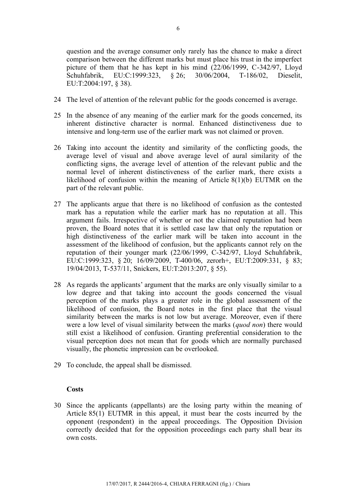question and the average consumer only rarely has the chance to make a direct comparison between the different marks but must place his trust in the imperfect picture of them that he has kept in his mind (22/06/1999, C-342/97, Lloyd Schuhfabrik, EU:C:1999:323, § 26; 30/06/2004, T-186/02, Dieselit, EU:T:2004:197, § 38).

- 24 The level of attention of the relevant public for the goods concerned is average.
- 25 In the absence of any meaning of the earlier mark for the goods concerned, its inherent distinctive character is normal. Enhanced distinctiveness due to intensive and long-term use of the earlier mark was not claimed or proven.
- 26 Taking into account the identity and similarity of the conflicting goods, the average level of visual and above average level of aural similarity of the conflicting signs, the average level of attention of the relevant public and the normal level of inherent distinctiveness of the earlier mark, there exists a likelihood of confusion within the meaning of Article 8(1)(b) EUTMR on the part of the relevant public.
- 27 The applicants argue that there is no likelihood of confusion as the contested mark has a reputation while the earlier mark has no reputation at all. This argument fails. Irrespective of whether or not the claimed reputation had been proven, the Board notes that it is settled case law that only the reputation or high distinctiveness of the earlier mark will be taken into account in the assessment of the likelihood of confusion, but the applicants cannot rely on the reputation of their younger mark (22/06/1999, C-342/97, Lloyd Schuhfabrik, EU:C:1999:323, § 20; 16/09/2009, T-400/06, zerorh+, EU:T:2009:331, § 83; 19/04/2013, T-537/11, Snickers, EU:T:2013:207, § 55).
- 28 As regards the applicants' argument that the marks are only visually similar to a low degree and that taking into account the goods concerned the visual perception of the marks plays a greater role in the global assessment of the likelihood of confusion, the Board notes in the first place that the visual similarity between the marks is not low but average. Moreover, even if there were a low level of visual similarity between the marks (*quod non*) there would still exist a likelihood of confusion. Granting preferential consideration to the visual perception does not mean that for goods which are normally purchased visually, the phonetic impression can be overlooked.
- 29 To conclude, the appeal shall be dismissed.

## **Costs**

30 Since the applicants (appellants) are the losing party within the meaning of Article 85(1) EUTMR in this appeal, it must bear the costs incurred by the opponent (respondent) in the appeal proceedings. The Opposition Division correctly decided that for the opposition proceedings each party shall bear its own costs.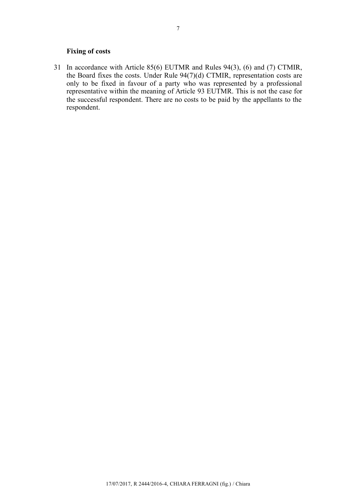## **Fixing of costs**

31 In accordance with Article 85(6) EUTMR and Rules 94(3), (6) and (7) CTMIR, the Board fixes the costs. Under Rule 94(7)(d) CTMIR, representation costs are only to be fixed in favour of a party who was represented by a professional representative within the meaning of Article 93 EUTMR. This is not the case for the successful respondent. There are no costs to be paid by the appellants to the respondent.